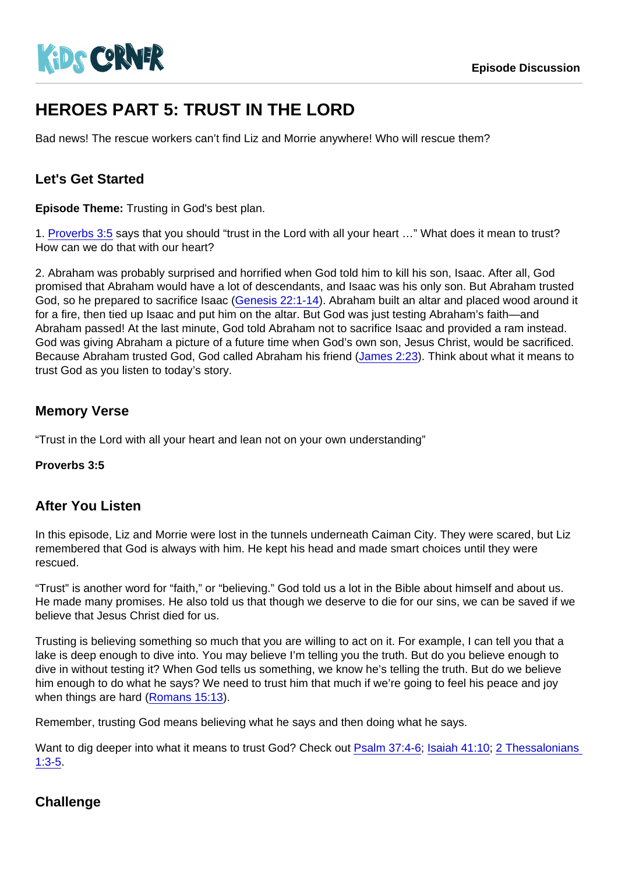# HEROES PART 5: TRUST IN THE LORD

Bad news! The rescue workers can't find Liz and Morrie anywhere! Who will rescue them?

## Let's Get Started

Episode Theme: Trusting in God's best plan.

1. [Proverbs 3:5](https://www.biblegateway.com/passage/?search=Proverbs+3:5) says that you should "trust in the Lord with all your heart …" What does it mean to trust? How can we do that with our heart?

2. Abraham was probably surprised and horrified when God told him to kill his son, Isaac. After all, God promised that Abraham would have a lot of descendants, and Isaac was his only son. But Abraham trusted God, so he prepared to sacrifice Isaac ([Genesis 22:1-14](https://www.biblegateway.com/passage/?search=Genesis+22:1-14)). Abraham built an altar and placed wood around it for a fire, then tied up Isaac and put him on the altar. But God was just testing Abraham's faith—and Abraham passed! At the last minute, God told Abraham not to sacrifice Isaac and provided a ram instead. God was giving Abraham a picture of a future time when God's own son, Jesus Christ, would be sacrificed. Because Abraham trusted God, God called Abraham his friend ([James 2:23\)](https://www.biblegateway.com/passage/?search=James+2:23). Think about what it means to trust God as you listen to today's story.

## Memory Verse

"Trust in the Lord with all your heart and lean not on your own understanding"

Proverbs 3:5

#### After You Listen

In this episode, Liz and Morrie were lost in the tunnels underneath Caiman City. They were scared, but Liz remembered that God is always with him. He kept his head and made smart choices until they were rescued.

"Trust" is another word for "faith," or "believing." God told us a lot in the Bible about himself and about us. He made many promises. He also told us that though we deserve to die for our sins, we can be saved if we believe that Jesus Christ died for us.

Trusting is believing something so much that you are willing to act on it. For example, I can tell you that a lake is deep enough to dive into. You may believe I'm telling you the truth. But do you believe enough to dive in without testing it? When God tells us something, we know he's telling the truth. But do we believe him enough to do what he says? We need to trust him that much if we're going to feel his peace and joy when things are hard [\(Romans 15:13\)](https://www.biblegateway.com/passage/?search=Romans+15:13).

Remember, trusting God means believing what he says and then doing what he says.

Want to dig deeper into what it means to trust God? Check out [Psalm 37:4-6;](https://www.biblegateway.com/passage/?search=Psalm+37:4-6) [Isaiah 41:10;](https://www.biblegateway.com/passage/?search=Isaiah+41:10) 2 Thessalonians [1:3-5](https://www.biblegateway.com/passage/?search=2+Thessalonians+1:3-5).

## **Challenge**